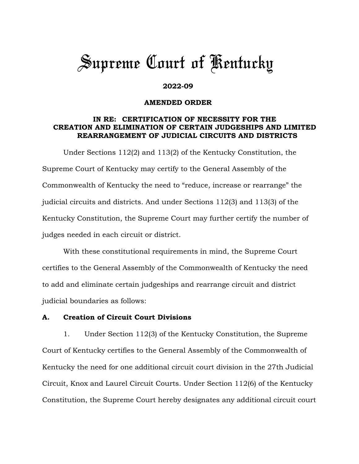# *Supreme Court of Kentucky*

#### **2022-09**

#### **AMENDED ORDER**

## **IN RE: CERTIFICATION OF NECESSITY FOR THE CREATION AND ELIMINATION OF CERTAIN JUDGESHIPS AND LIMITED REARRANGEMENT OF JUDICIAL CIRCUITS AND DISTRICTS**

Under Sections 112(2) and 113(2) of the Kentucky Constitution, the Supreme Court of Kentucky may certify to the General Assembly of the Commonwealth of Kentucky the need to "reduce, increase or rearrange" the judicial circuits and districts. And under Sections 112(3) and 113(3) of the Kentucky Constitution, the Supreme Court may further certify the number of judges needed in each circuit or district.

With these constitutional requirements in mind, the Supreme Court certifies to the General Assembly of the Commonwealth of Kentucky the need to add and eliminate certain judgeships and rearrange circuit and district judicial boundaries as follows:

## **A. Creation of Circuit Court Divisions**

1. Under Section 112(3) of the Kentucky Constitution, the Supreme Court of Kentucky certifies to the General Assembly of the Commonwealth of Kentucky the need for one additional circuit court division in the 27th Judicial Circuit, Knox and Laurel Circuit Courts. Under Section 112(6) of the Kentucky Constitution, the Supreme Court hereby designates any additional circuit court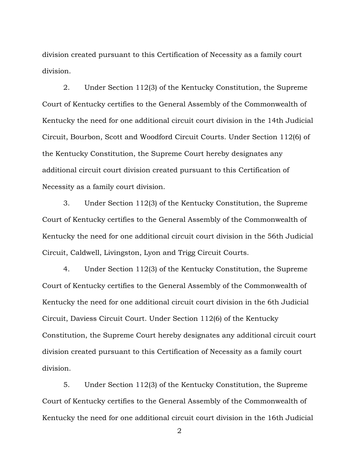division created pursuant to this Certification of Necessity as a family court division.

2. Under Section 112(3) of the Kentucky Constitution, the Supreme Court of Kentucky certifies to the General Assembly of the Commonwealth of Kentucky the need for one additional circuit court division in the 14th Judicial Circuit, Bourbon, Scott and Woodford Circuit Courts. Under Section 112(6) of the Kentucky Constitution, the Supreme Court hereby designates any additional circuit court division created pursuant to this Certification of Necessity as a family court division.

3. Under Section 112(3) of the Kentucky Constitution, the Supreme Court of Kentucky certifies to the General Assembly of the Commonwealth of Kentucky the need for one additional circuit court division in the 56th Judicial Circuit, Caldwell, Livingston, Lyon and Trigg Circuit Courts.

4. Under Section 112(3) of the Kentucky Constitution, the Supreme Court of Kentucky certifies to the General Assembly of the Commonwealth of Kentucky the need for one additional circuit court division in the 6th Judicial Circuit, Daviess Circuit Court. Under Section 112(6) of the Kentucky Constitution, the Supreme Court hereby designates any additional circuit court division created pursuant to this Certification of Necessity as a family court division.

5. Under Section 112(3) of the Kentucky Constitution, the Supreme Court of Kentucky certifies to the General Assembly of the Commonwealth of Kentucky the need for one additional circuit court division in the 16th Judicial

2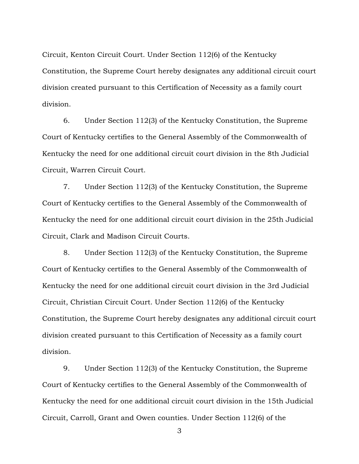Circuit, Kenton Circuit Court. Under Section 112(6) of the Kentucky Constitution, the Supreme Court hereby designates any additional circuit court division created pursuant to this Certification of Necessity as a family court division.

6. Under Section 112(3) of the Kentucky Constitution, the Supreme Court of Kentucky certifies to the General Assembly of the Commonwealth of Kentucky the need for one additional circuit court division in the 8th Judicial Circuit, Warren Circuit Court.

7. Under Section 112(3) of the Kentucky Constitution, the Supreme Court of Kentucky certifies to the General Assembly of the Commonwealth of Kentucky the need for one additional circuit court division in the 25th Judicial Circuit, Clark and Madison Circuit Courts.

8. Under Section 112(3) of the Kentucky Constitution, the Supreme Court of Kentucky certifies to the General Assembly of the Commonwealth of Kentucky the need for one additional circuit court division in the 3rd Judicial Circuit, Christian Circuit Court. Under Section 112(6) of the Kentucky Constitution, the Supreme Court hereby designates any additional circuit court division created pursuant to this Certification of Necessity as a family court division.

9. Under Section 112(3) of the Kentucky Constitution, the Supreme Court of Kentucky certifies to the General Assembly of the Commonwealth of Kentucky the need for one additional circuit court division in the 15th Judicial Circuit, Carroll, Grant and Owen counties. Under Section 112(6) of the

3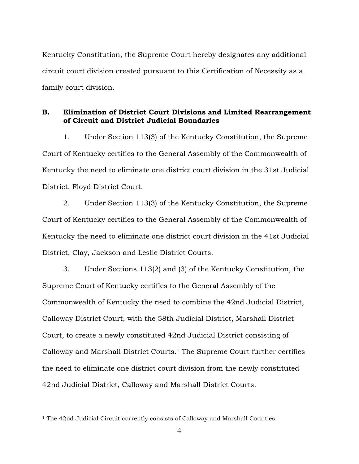Kentucky Constitution, the Supreme Court hereby designates any additional circuit court division created pursuant to this Certification of Necessity as a family court division.

## **B. Elimination of District Court Divisions and Limited Rearrangement of Circuit and District Judicial Boundaries**

1. Under Section 113(3) of the Kentucky Constitution, the Supreme Court of Kentucky certifies to the General Assembly of the Commonwealth of Kentucky the need to eliminate one district court division in the 31st Judicial District, Floyd District Court.

2. Under Section 113(3) of the Kentucky Constitution, the Supreme Court of Kentucky certifies to the General Assembly of the Commonwealth of Kentucky the need to eliminate one district court division in the 41st Judicial District, Clay, Jackson and Leslie District Courts.

3. Under Sections 113(2) and (3) of the Kentucky Constitution, the Supreme Court of Kentucky certifies to the General Assembly of the Commonwealth of Kentucky the need to combine the 42nd Judicial District, Calloway District Court, with the 58th Judicial District, Marshall District Court, to create a newly constituted 42nd Judicial District consisting of Calloway and Marshall District Courts. <sup>1</sup> The Supreme Court further certifies the need to eliminate one district court division from the newly constituted 42nd Judicial District, Calloway and Marshall District Courts.

<sup>&</sup>lt;sup>1</sup> The 42nd Judicial Circuit currently consists of Calloway and Marshall Counties.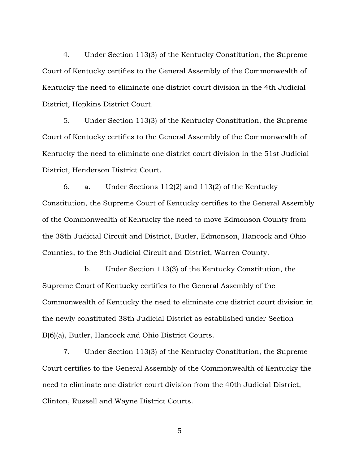4. Under Section 113(3) of the Kentucky Constitution, the Supreme Court of Kentucky certifies to the General Assembly of the Commonwealth of Kentucky the need to eliminate one district court division in the 4th Judicial District, Hopkins District Court.

5. Under Section 113(3) of the Kentucky Constitution, the Supreme Court of Kentucky certifies to the General Assembly of the Commonwealth of Kentucky the need to eliminate one district court division in the 51st Judicial District, Henderson District Court.

6. a. Under Sections 112(2) and 113(2) of the Kentucky Constitution, the Supreme Court of Kentucky certifies to the General Assembly of the Commonwealth of Kentucky the need to move Edmonson County from the 38th Judicial Circuit and District, Butler, Edmonson, Hancock and Ohio Counties, to the 8th Judicial Circuit and District, Warren County.

b. Under Section 113(3) of the Kentucky Constitution, the Supreme Court of Kentucky certifies to the General Assembly of the Commonwealth of Kentucky the need to eliminate one district court division in the newly constituted 38th Judicial District as established under Section B(6)(a), Butler, Hancock and Ohio District Courts.

7. Under Section 113(3) of the Kentucky Constitution, the Supreme Court certifies to the General Assembly of the Commonwealth of Kentucky the need to eliminate one district court division from the 40th Judicial District, Clinton, Russell and Wayne District Courts.

5